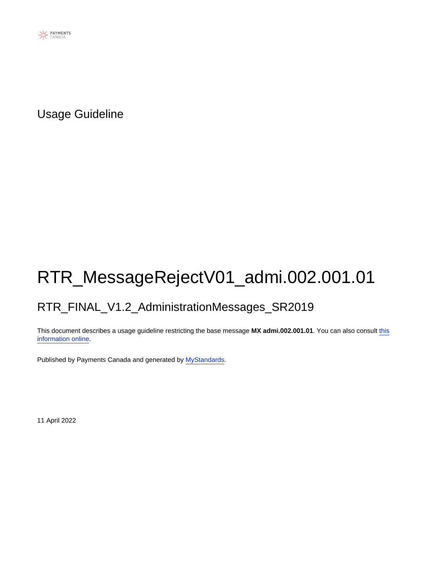

Usage Guideline

# RTR\_MessageRejectV01\_admi.002.001.01

### RTR\_FINAL\_V1.2\_AdministrationMessages\_SR2019

This document describes a usage guideline restricting the base message **MX admi.002.001.01**. You can also consult [this](https://www2.swift.com/mystandards/#/mp/mx/_L7ETDp8bEeyX2-3WgfEAkg/version/3/_L7ETD58bEeyX2-3WgfEAkg) [information online](https://www2.swift.com/mystandards/#/mp/mx/_L7ETDp8bEeyX2-3WgfEAkg/version/3/_L7ETD58bEeyX2-3WgfEAkg).

Published by Payments Canada and generated by [MyStandards](http://www.swift.com/mystandards).

11 April 2022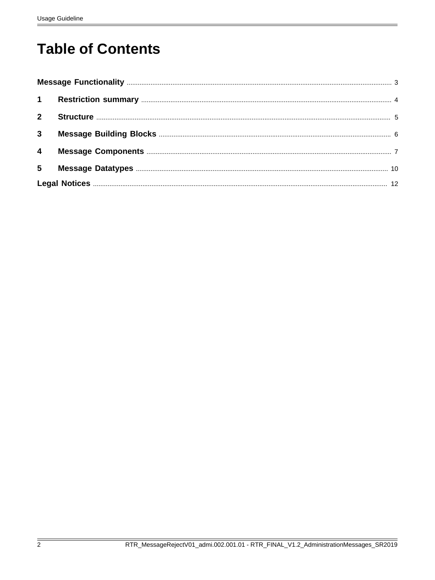# **Table of Contents**

| $2^{\circ}$             |  |
|-------------------------|--|
| $\mathbf{3}$            |  |
| $\overline{\mathbf{4}}$ |  |
| $5\phantom{.0}$         |  |
|                         |  |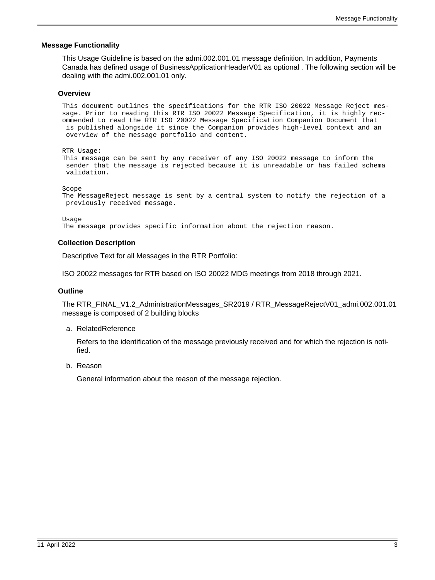#### <span id="page-2-0"></span> **Message Functionality**

This Usage Guideline is based on the admi.002.001.01 message definition. In addition, Payments Canada has defined usage of BusinessApplicationHeaderV01 as optional . The following section will be dealing with the admi.002.001.01 only.

#### **Overview**

This document outlines the specifications for the RTR ISO 20022 Message Reject message. Prior to reading this RTR ISO 20022 Message Specification, it is highly recommended to read the RTR ISO 20022 Message Specification Companion Document that is published alongside it since the Companion provides high-level context and an overview of the message portfolio and content.

RTR Usage: This message can be sent by any receiver of any ISO 20022 message to inform the sender that the message is rejected because it is unreadable or has failed schema validation.

Scope

```
The MessageReject message is sent by a central system to notify the rejection of a
 previously received message.
```
Usage

The message provides specific information about the rejection reason.

#### **Collection Description**

Descriptive Text for all Messages in the RTR Portfolio:

ISO 20022 messages for RTR based on ISO 20022 MDG meetings from 2018 through 2021.

#### **Outline**

The RTR\_FINAL\_V1.2\_AdministrationMessages\_SR2019 / RTR\_MessageRejectV01\_admi.002.001.01 message is composed of 2 building blocks

a. RelatedReference

Refers to the identification of the message previously received and for which the rejection is notified.

b. Reason

General information about the reason of the message rejection.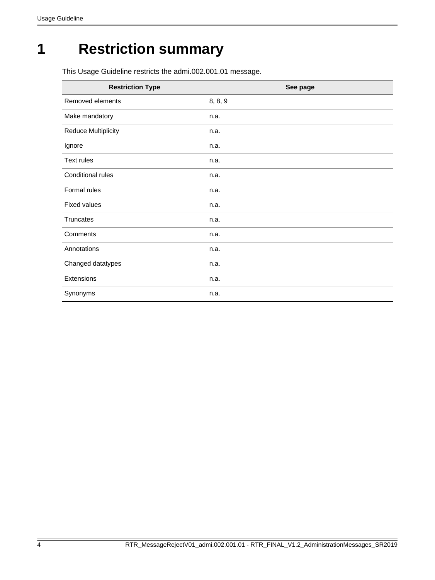# <span id="page-3-0"></span>**1 Restriction summary**

This Usage Guideline restricts the admi.002.001.01 message.

| <b>Restriction Type</b>    | See page |
|----------------------------|----------|
| Removed elements           | 8, 8, 9  |
| Make mandatory             | n.a.     |
| <b>Reduce Multiplicity</b> | n.a.     |
| Ignore                     | n.a.     |
| Text rules                 | n.a.     |
| Conditional rules          | n.a.     |
| Formal rules               | n.a.     |
| <b>Fixed values</b>        | n.a.     |
| <b>Truncates</b>           | n.a.     |
| Comments                   | n.a.     |
| Annotations                | n.a.     |
| Changed datatypes          | n.a.     |
| Extensions                 | n.a.     |
| Synonyms                   | n.a.     |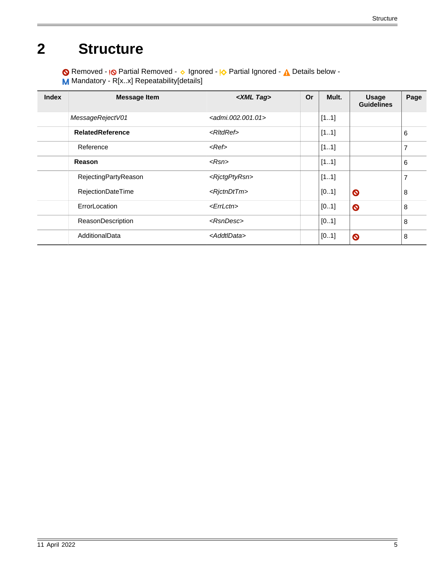# <span id="page-4-0"></span>**2 Structure**

Removed - <sub>!</sub>© Partial Removed - 
o Ignored - <u>I</u> $\Diamond$  Partial Ignored - 
<u>A</u> Details below -M Mandatory - R[x..x] Repeatability[details]

| <b>Index</b> | <b>Message Item</b>     | <xml tag=""></xml>                           | <b>Or</b> | Mult. | <b>Usage</b><br><b>Guidelines</b> | Page |
|--------------|-------------------------|----------------------------------------------|-----------|-------|-----------------------------------|------|
|              | MessageRejectV01        | $\alpha$ <admi.002.001.01></admi.002.001.01> |           | [11]  |                                   |      |
|              | <b>RelatedReference</b> | $\langle R   \mathcal{H}$                    |           | [11]  |                                   | 6    |
|              | Reference               | $<$ Ref $>$                                  |           | [11]  |                                   | 7    |
|              | Reason                  | $\langle Rsn \rangle$                        |           | [11]  |                                   | 6    |
|              | RejectingPartyReason    | <rjctgptyrsn></rjctgptyrsn>                  |           | [11]  |                                   | 7    |
|              | RejectionDateTime       | <rjctndttm></rjctndttm>                      |           | [01]  | $\bullet$                         | 8    |
|              | ErrorLocation           | $<$ <i>ErrLctn</i> >                         |           | [01]  | $\bullet$                         | 8    |
|              | ReasonDescription       | $<$ RsnDesc $>$                              |           | [01]  |                                   | 8    |
|              | AdditionalData          | <addtldata></addtldata>                      |           | [01]  | $\boldsymbol{\circ}$              | 8    |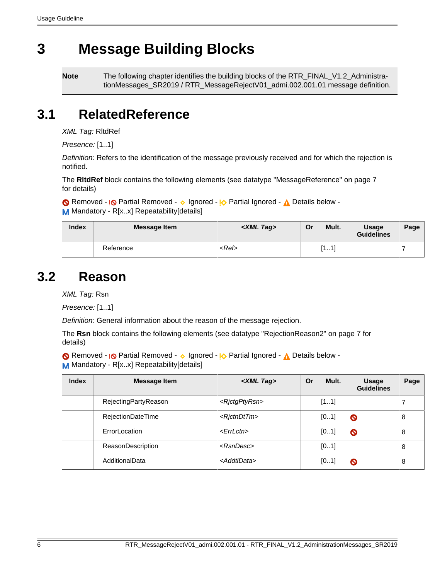# <span id="page-5-0"></span>**3 Message Building Blocks**

**Note** The following chapter identifies the building blocks of the RTR\_FINAL\_V1.2\_AdministrationMessages\_SR2019 / RTR\_MessageRejectV01\_admi.002.001.01 message definition.

### <span id="page-5-1"></span>**3.1 RelatedReference**

XML Tag: RltdRef

Presence: [1..1]

Definition: Refers to the identification of the message previously received and for which the rejection is notified.

The **RltdRef** block contains the following elements (see datatype ["MessageReference" on page 7](#page-6-3) for details)

Removed - <sub>!</sub>© Partial Removed - 
o Ignored - <sub>!</sub>O Partial Ignored - 
<sub>A</sub> Details below -

M Mandatory - R[x.x] Repeatability[details]

| <b>Index</b> | <b>Message Item</b> | $\langle$ XML Tag $\rangle$ | Or | Mult.                   | <b>Usage</b><br><b>Guidelines</b> | Page |
|--------------|---------------------|-----------------------------|----|-------------------------|-----------------------------------|------|
|              | Reference           | $<$ Ref $>$                 |    | Г1<br>$-4^{\circ}$<br>. |                                   |      |

### <span id="page-5-2"></span>**3.2 Reason**

XML Tag: Rsn

Presence: [1..1]

Definition: General information about the reason of the message rejection.

The Rsn block contains the following elements (see datatype ["RejectionReason2" on page 7](#page-6-4) for details)

Removed - <sub>!</sub>© Partial Removed - 
o Ignored - <sup>1</sup>

<sub>2</sub> Partial Ignored - 
<sub>1</sub>

<sub>2</sub> Details below -M Mandatory - R[x..x] Repeatability[details]

| <b>Index</b> | <b>Message Item</b>      | <xml tag=""></xml>          | <b>Or</b> | Mult. | <b>Usage</b><br><b>Guidelines</b> | Page |
|--------------|--------------------------|-----------------------------|-----------|-------|-----------------------------------|------|
|              | RejectingPartyReason     | <rjctgptyrsn></rjctgptyrsn> |           | [11]  |                                   |      |
|              | <b>RejectionDateTime</b> | <rictndttm></rictndttm>     |           | [01]  | $\bullet$                         | 8    |
|              | ErrorLocation            | $<$ <i>ErrLctn</i> >        |           | [01]  | $\bullet$                         | 8    |
|              | ReasonDescription        | $<$ RsnDesc $>$             |           | [01]  |                                   | 8    |
|              | AdditionalData           | <addtldata></addtldata>     |           | [01]  | O                                 | 8    |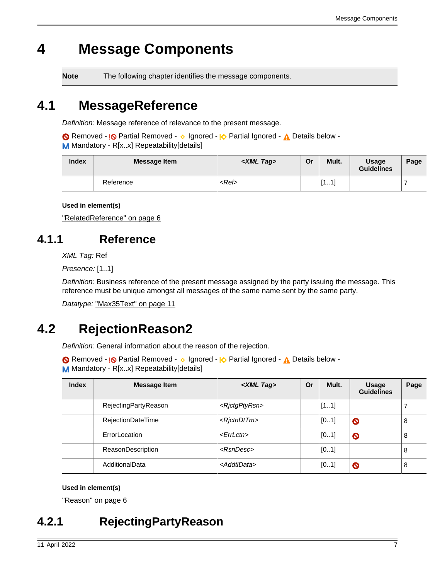# <span id="page-6-0"></span>**4 Message Components**

**Note** The following chapter identifies the message components.

## <span id="page-6-3"></span>**4.1 MessageReference**

Definition: Message reference of relevance to the present message.

Removed - <sub>!</sub>© Partial Removed - 
o Ignored - <u>I</u> $\Diamond$  Partial Ignored - 
<u>A</u> Details below -M Mandatory - R[x.x] Repeatability[details]

| <b>Index</b> | <b>Message Item</b> | $\langle$ XML Tag $\rangle$ | Or | Mult.                 | <b>Usage</b><br><b>Guidelines</b> | Page |
|--------------|---------------------|-----------------------------|----|-----------------------|-----------------------------------|------|
|              | Reference           | <ref></ref>                 |    | <b>T1</b><br>-11<br>. |                                   |      |

**Used in element(s)**

["RelatedReference" on page 6](#page-5-1)

## <span id="page-6-1"></span>**4.1.1 Reference**

XML Tag: Ref

Presence: [1..1]

Definition: Business reference of the present message assigned by the party issuing the message. This reference must be unique amongst all messages of the same name sent by the same party.

Datatype: ["Max35Text" on page 11](#page-10-0)

## <span id="page-6-4"></span>**4.2 RejectionReason2**

Definition: General information about the reason of the rejection.

```
Removed - <sub>I</sub>O Partial Removed - o Ignored - IO Partial Ignored - A Details below -
M Mandatory - R[x.x] Repeatability[details]
```

| <b>Index</b> | <b>Message Item</b>  | <xml tag=""></xml>          | Or | Mult. | <b>Usage</b><br><b>Guidelines</b> | Page |
|--------------|----------------------|-----------------------------|----|-------|-----------------------------------|------|
|              | RejectingPartyReason | <rjctgptyrsn></rjctgptyrsn> |    | [11]  |                                   |      |
|              | RejectionDateTime    | <rictndttm></rictndttm>     |    | [01]  | $\bullet$                         | 8    |
|              | ErrorLocation        | $\epsilon$ <i>ErrLctn</i> > |    | [01]  | $\bullet$                         | 8    |
|              | ReasonDescription    | $<$ RsnDesc $>$             |    | [01]  |                                   | 8    |
|              | AdditionalData       | <addtldata></addtldata>     |    | [01]  | $\bullet$                         | 8    |

### **Used in element(s)**

["Reason" on page 6](#page-5-2)

## <span id="page-6-2"></span>**4.2.1 RejectingPartyReason**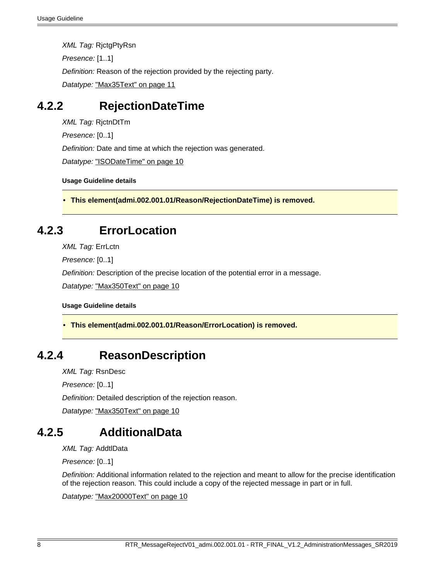XML Tag: RjctgPtyRsn Presence: [1..1] Definition: Reason of the rejection provided by the rejecting party. Datatype: ["Max35Text" on page 11](#page-10-0)

### <span id="page-7-2"></span>**4.2.2 RejectionDateTime**

XML Tag: RjctnDtTm Presence: [0..1] Definition: Date and time at which the rejection was generated. Datatype: ["ISODateTime" on page 10](#page-9-1)

**Usage Guideline details**

<span id="page-7-0"></span>• **This element(admi.002.001.01/Reason/RejectionDateTime) is removed.**

### <span id="page-7-3"></span>**4.2.3 ErrorLocation**

XML Tag: ErrLctn

Presence: [0..1]

Definition: Description of the precise location of the potential error in a message.

Datatype: ["Max350Text" on page 10](#page-9-2)

**Usage Guideline details**

<span id="page-7-1"></span>• **This element(admi.002.001.01/Reason/ErrorLocation) is removed.**

### <span id="page-7-4"></span>**4.2.4 ReasonDescription**

XML Tag: RsnDesc

Presence: [0..1]

Definition: Detailed description of the rejection reason.

Datatype: ["Max350Text" on page 10](#page-9-2)

## <span id="page-7-5"></span>**4.2.5 AdditionalData**

XML Tag: AddtlData

Presence: [0..1]

Definition: Additional information related to the rejection and meant to allow for the precise identification of the rejection reason. This could include a copy of the rejected message in part or in full.

Datatype: ["Max20000Text" on page 10](#page-9-3)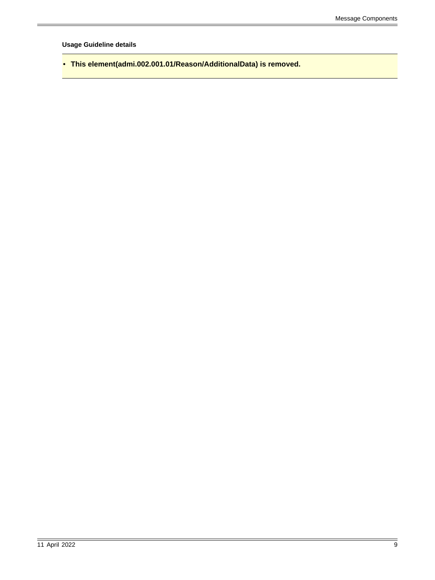**Usage Guideline details**

<span id="page-8-0"></span>• **This element(admi.002.001.01/Reason/AdditionalData) is removed.**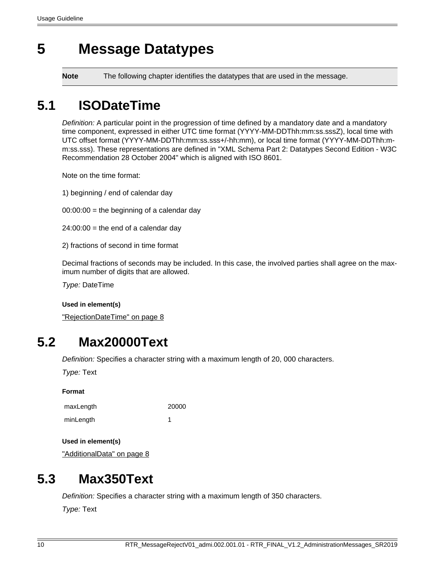# <span id="page-9-0"></span>**5 Message Datatypes**

**Note** The following chapter identifies the datatypes that are used in the message.

## <span id="page-9-1"></span>**5.1 ISODateTime**

Definition: A particular point in the progression of time defined by a mandatory date and a mandatory time component, expressed in either UTC time format (YYYY-MM-DDThh:mm:ss.sssZ), local time with UTC offset format (YYYY-MM-DDThh:mm:ss.sss+/-hh:mm), or local time format (YYYY-MM-DDThh:mm:ss.sss). These representations are defined in "XML Schema Part 2: Datatypes Second Edition - W3C Recommendation 28 October 2004" which is aligned with ISO 8601.

Note on the time format:

- 1) beginning / end of calendar day
- $00:00:00 =$  the beginning of a calendar day
- $24:00:00 =$  the end of a calendar day
- 2) fractions of second in time format

Decimal fractions of seconds may be included. In this case, the involved parties shall agree on the maximum number of digits that are allowed.

Type: DateTime

**Used in element(s)**

["RejectionDateTime" on page 8](#page-7-2)

### <span id="page-9-3"></span>**5.2 Max20000Text**

Definition: Specifies a character string with a maximum length of 20, 000 characters.

Type: Text

| ľ<br>11<br>I<br>٠<br>٠ |
|------------------------|
|------------------------|

| maxLength | 20000 |
|-----------|-------|
| minLength |       |

**Used in element(s)**

["AdditionalData" on page 8](#page-7-5)

### <span id="page-9-2"></span>**5.3 Max350Text**

Definition: Specifies a character string with a maximum length of 350 characters.

Type: Text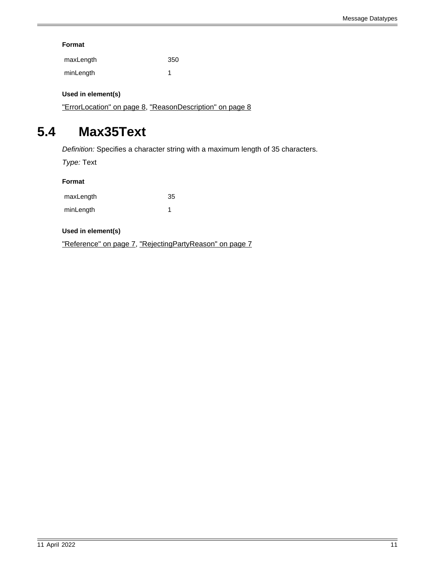### **Format**

| maxLength | 350 |
|-----------|-----|
| minLength |     |

### **Used in element(s)**

["ErrorLocation" on page 8](#page-7-3), ["ReasonDescription" on page 8](#page-7-4)

### <span id="page-10-0"></span>**5.4 Max35Text**

Definition: Specifies a character string with a maximum length of 35 characters.

Type: Text

#### **Format**

| maxLength | 35 |
|-----------|----|
| minLength |    |

#### **Used in element(s)**

["Reference" on page 7,](#page-6-1) ["RejectingPartyReason" on page 7](#page-6-2)